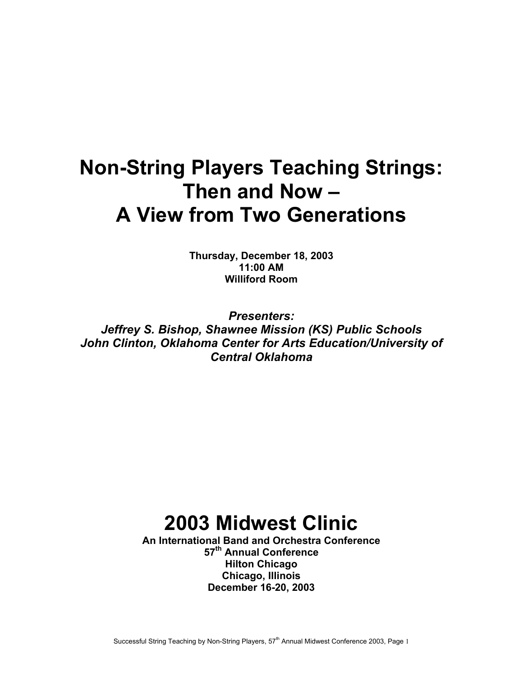# **Non-String Players Teaching Strings: Then and Now – A View from Two Generations**

**Thursday, December 18, 2003 11:00 AM Williford Room** 

*Presenters: Jeffrey S. Bishop, Shawnee Mission (KS) Public Schools John Clinton, Oklahoma Center for Arts Education/University of Central Oklahoma*

# **2003 Midwest Clinic**

**An International Band and Orchestra Conference 57th Annual Conference Hilton Chicago Chicago, Illinois December 16-20, 2003**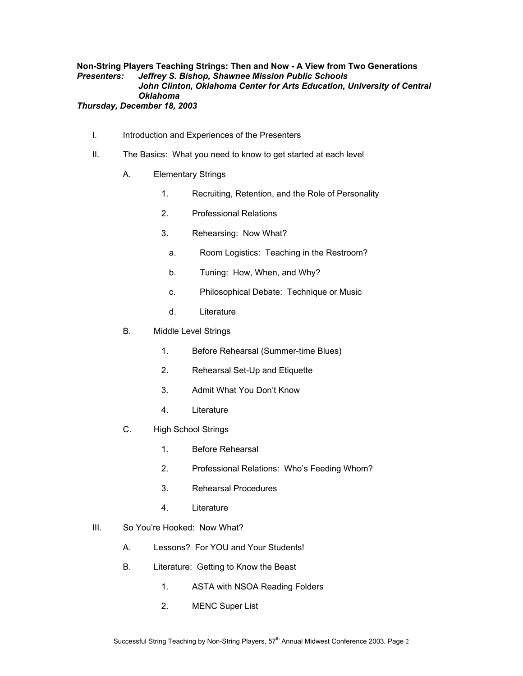# **Non-String Players Teaching Strings: Then and Now - A View from Two Generations**  *Presenters: Jeffrey S. Bishop, Shawnee Mission Public Schools John Clinton, Oklahoma Center for Arts Education, University of Central Oklahoma*

# *Thursday, December 18, 2003*

- I. Introduction and Experiences of the Presenters
- II. The Basics: What you need to know to get started at each level
	- A. Elementary Strings
		- 1. Recruiting, Retention, and the Role of Personality
		- 2. Professional Relations
		- 3. Rehearsing: Now What?
			- a. Room Logistics: Teaching in the Restroom?
			- b. Tuning: How, When, and Why?
			- c. Philosophical Debate: Technique or Music
			- d. Literature
	- B. Middle Level Strings
		- 1. Before Rehearsal (Summer-time Blues)
		- 2. Rehearsal Set-Up and Etiquette
		- 3. Admit What You Don't Know
		- 4. Literature
	- C. High School Strings
		- 1. Before Rehearsal
		- 2. Professional Relations: Who's Feeding Whom?
		- 3. Rehearsal Procedures
		- 4. Literature
- III. So You're Hooked: Now What?
	- A. Lessons? For YOU and Your Students!
	- B. Literature: Getting to Know the Beast
		- 1. ASTA with NSOA Reading Folders
		- 2. MENC Super List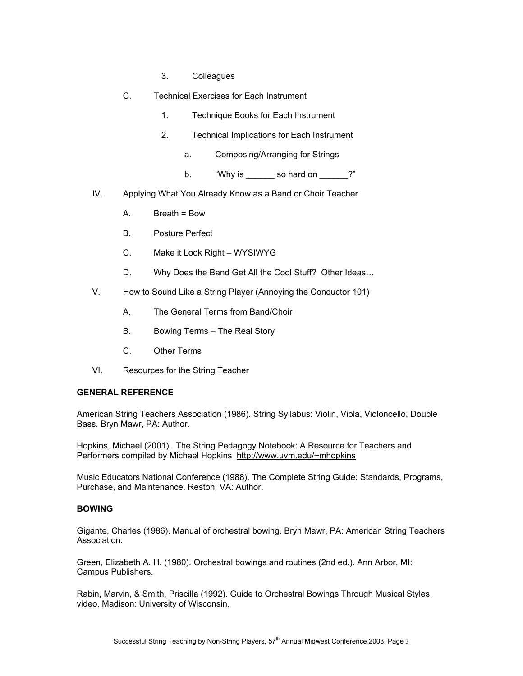- 3. Colleagues
- C. Technical Exercises for Each Instrument
	- 1. Technique Books for Each Instrument
	- 2. Technical Implications for Each Instrument
		- a. Composing/Arranging for Strings
		- b. "Why is so hard on ?"
- IV. Applying What You Already Know as a Band or Choir Teacher
	- A. Breath = Bow
	- B. Posture Perfect
	- C. Make it Look Right WYSIWYG
	- D. Why Does the Band Get All the Cool Stuff? Other Ideas…
- V. How to Sound Like a String Player (Annoying the Conductor 101)
	- A. The General Terms from Band/Choir
	- B. Bowing Terms The Real Story
	- C. Other Terms
- VI. Resources for the String Teacher

#### **GENERAL REFERENCE**

American String Teachers Association (1986). String Syllabus: Violin, Viola, Violoncello, Double Bass. Bryn Mawr, PA: Author.

Hopkins, Michael (2001). The String Pedagogy Notebook: A Resource for Teachers and Performers compiled by Michael Hopkins http://www.uvm.edu/~mhopkins

Music Educators National Conference (1988). The Complete String Guide: Standards, Programs, Purchase, and Maintenance. Reston, VA: Author.

## **BOWING**

Gigante, Charles (1986). Manual of orchestral bowing. Bryn Mawr, PA: American String Teachers Association.

Green, Elizabeth A. H. (1980). Orchestral bowings and routines (2nd ed.). Ann Arbor, MI: Campus Publishers.

Rabin, Marvin, & Smith, Priscilla (1992). Guide to Orchestral Bowings Through Musical Styles, video. Madison: University of Wisconsin.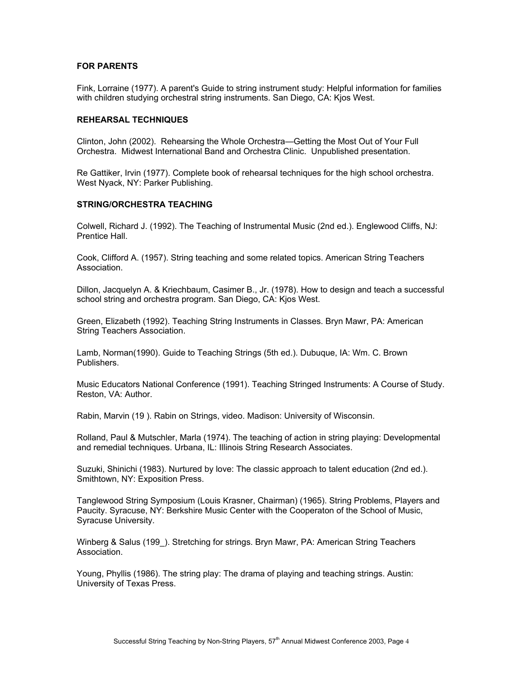## **FOR PARENTS**

Fink, Lorraine (1977). A parent's Guide to string instrument study: Helpful information for families with children studying orchestral string instruments. San Diego, CA: Kjos West.

#### **REHEARSAL TECHNIQUES**

Clinton, John (2002). Rehearsing the Whole Orchestra—Getting the Most Out of Your Full Orchestra. Midwest International Band and Orchestra Clinic. Unpublished presentation.

Re Gattiker, Irvin (1977). Complete book of rehearsal techniques for the high school orchestra. West Nyack, NY: Parker Publishing.

#### **STRING/ORCHESTRA TEACHING**

Colwell, Richard J. (1992). The Teaching of Instrumental Music (2nd ed.). Englewood Cliffs, NJ: Prentice Hall.

Cook, Clifford A. (1957). String teaching and some related topics. American String Teachers Association.

Dillon, Jacquelyn A. & Kriechbaum, Casimer B., Jr. (1978). How to design and teach a successful school string and orchestra program. San Diego, CA: Kjos West.

Green, Elizabeth (1992). Teaching String Instruments in Classes. Bryn Mawr, PA: American String Teachers Association.

Lamb, Norman(1990). Guide to Teaching Strings (5th ed.). Dubuque, IA: Wm. C. Brown Publishers.

Music Educators National Conference (1991). Teaching Stringed Instruments: A Course of Study. Reston, VA: Author.

Rabin, Marvin (19 ). Rabin on Strings, video. Madison: University of Wisconsin.

Rolland, Paul & Mutschler, Marla (1974). The teaching of action in string playing: Developmental and remedial techniques. Urbana, IL: Illinois String Research Associates.

Suzuki, Shinichi (1983). Nurtured by love: The classic approach to talent education (2nd ed.). Smithtown, NY: Exposition Press.

Tanglewood String Symposium (Louis Krasner, Chairman) (1965). String Problems, Players and Paucity. Syracuse, NY: Berkshire Music Center with the Cooperaton of the School of Music, Syracuse University.

Winberg & Salus (199 ). Stretching for strings. Bryn Mawr, PA: American String Teachers Association.

Young, Phyllis (1986). The string play: The drama of playing and teaching strings. Austin: University of Texas Press.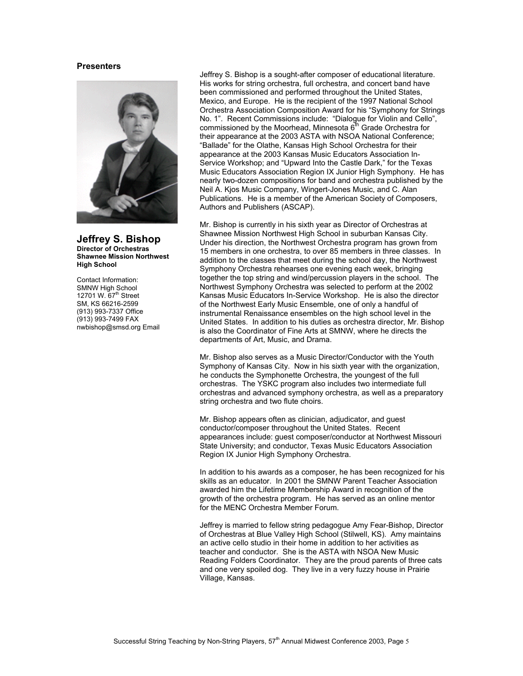#### **Presenters**



**Jeffrey S. Bishop Director of Orchestras Shawnee Mission Northwest High School** 

Contact Information: SMNW High School 12701 W.  $67<sup>th</sup>$  Street SM, KS 66216-2599 (913) 993-7337 Office (913) 993-7499 FAX nwbishop@smsd.org Email Jeffrey S. Bishop is a sought-after composer of educational literature. His works for string orchestra, full orchestra, and concert band have been commissioned and performed throughout the United States, Mexico, and Europe. He is the recipient of the 1997 National School Orchestra Association Composition Award for his "Symphony for Strings No. 1". Recent Commissions include: "Dialogue for Violin and Cello", commissioned by the Moorhead, Minnesota  $6<sup>th</sup>$  Grade Orchestra for their appearance at the 2003 ASTA with NSOA National Conference; "Ballade" for the Olathe, Kansas High School Orchestra for their appearance at the 2003 Kansas Music Educators Association In-Service Workshop; and "Upward Into the Castle Dark," for the Texas Music Educators Association Region IX Junior High Symphony. He has nearly two-dozen compositions for band and orchestra published by the Neil A. Kjos Music Company, Wingert-Jones Music, and C. Alan Publications. He is a member of the American Society of Composers, Authors and Publishers (ASCAP).

Mr. Bishop is currently in his sixth year as Director of Orchestras at Shawnee Mission Northwest High School in suburban Kansas City. Under his direction, the Northwest Orchestra program has grown from 15 members in one orchestra, to over 85 members in three classes. In addition to the classes that meet during the school day, the Northwest Symphony Orchestra rehearses one evening each week, bringing together the top string and wind/percussion players in the school. The Northwest Symphony Orchestra was selected to perform at the 2002 Kansas Music Educators In-Service Workshop. He is also the director of the Northwest Early Music Ensemble, one of only a handful of instrumental Renaissance ensembles on the high school level in the United States. In addition to his duties as orchestra director, Mr. Bishop is also the Coordinator of Fine Arts at SMNW, where he directs the departments of Art, Music, and Drama.

Mr. Bishop also serves as a Music Director/Conductor with the Youth Symphony of Kansas City. Now in his sixth year with the organization, he conducts the Symphonette Orchestra, the youngest of the full orchestras. The YSKC program also includes two intermediate full orchestras and advanced symphony orchestra, as well as a preparatory string orchestra and two flute choirs.

Mr. Bishop appears often as clinician, adjudicator, and guest conductor/composer throughout the United States. Recent appearances include: guest composer/conductor at Northwest Missouri State University; and conductor, Texas Music Educators Association Region IX Junior High Symphony Orchestra.

In addition to his awards as a composer, he has been recognized for his skills as an educator. In 2001 the SMNW Parent Teacher Association awarded him the Lifetime Membership Award in recognition of the growth of the orchestra program. He has served as an online mentor for the MENC Orchestra Member Forum.

Jeffrey is married to fellow string pedagogue Amy Fear-Bishop, Director of Orchestras at Blue Valley High School (Stilwell, KS). Amy maintains an active cello studio in their home in addition to her activities as teacher and conductor. She is the ASTA with NSOA New Music Reading Folders Coordinator. They are the proud parents of three cats and one very spoiled dog. They live in a very fuzzy house in Prairie Village, Kansas.